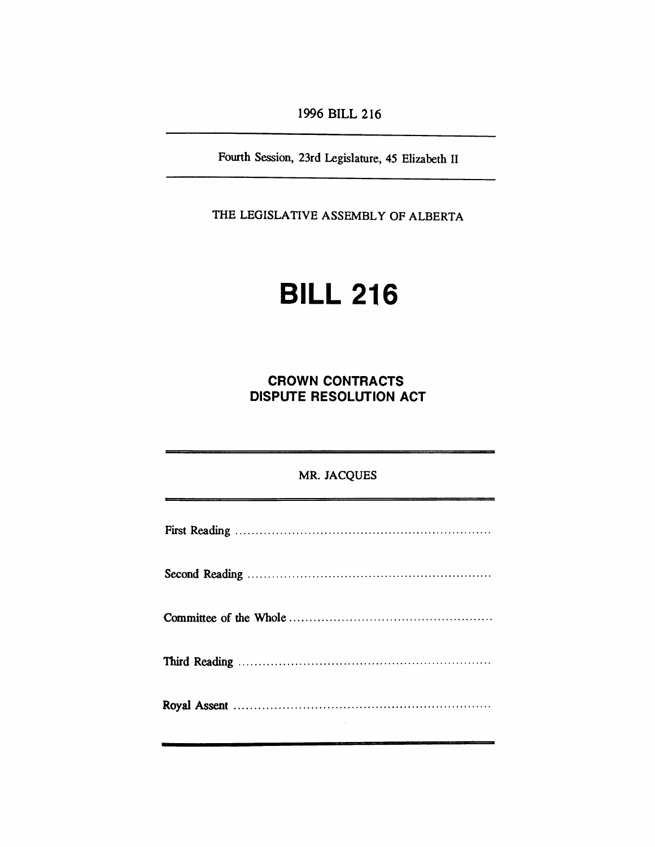*1996 BILL 216*

*Fourth Session, 23rd Legislature, 45 Elizabeth II*

*THE LEGISLATIVE ASSEMBLY OF ALBERTA*

# *BILL 216*

*CROWN CONTRACTS DISPUTE RESOLUTION ACT*

*MR. JACQUES*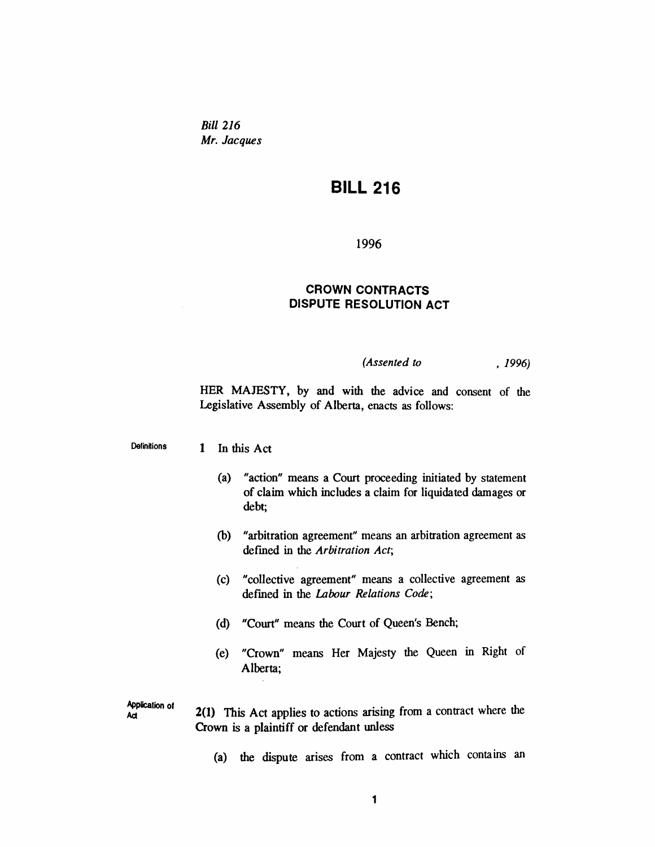*Bill 216 Mr. Jacques*

## *BILL 216*

*1996*

### *CROWN CONTRACTS DISPUTE RESOLUTION ACT*

#### *(Assented to , 1996)*

*HER MAJESTY, by and with the advice and consent of the Legislative Assembly of Alberta, enacts as follows:*

*Definitions 1 In this Act*

- *(a) "action" means a Court proceeding initiated by statement of claim which includes a claim for liquidated damages or debt;*
- *(b) "arbitration agreement" means an arbitration agreement as defined in the Arbitration Act;*
- *(c) "collective agreement" means a collective agreement as defined in the Labour Relations Code;*
- *(d) "Court" means the Court of Queen's Bench;*
- *(e) "Crown" means Her Majesty the Queen in Right of Alberta;*

*Application of Act 2(1) This Act applies to actions arising from a contract where the Crown is a plaintiff or defendant unless*

*(a) the dispute arises from a contract which contains an*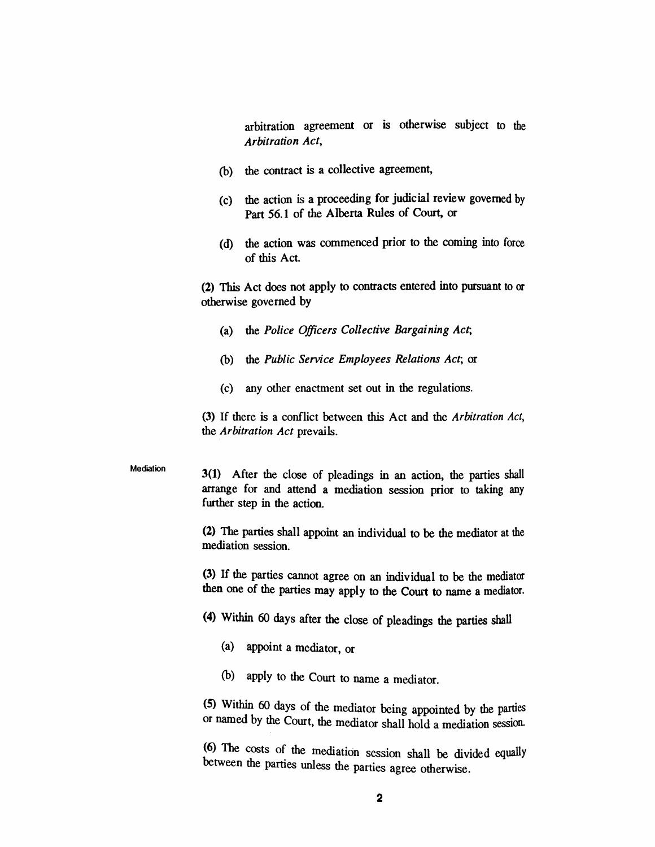*arbitration agreement or is otherwise subject to the Arbitration Act,*

- *(b) the contract is a collective agreement,*
- *(c) the action is a proceeding for judicial review governed by Part 56.1 of the Alberta Rules of Court, or*
- *(d) the action was commenced prior to the coming into force of this Act*

*(2) This Act does not apply to contracts entered into pursuant to or otherwise governed by*

- *(a) the Police Officers Collective Bargaining Act;*
- *(b) the Public Service Employees Relations Act; or*
- *(c) any other enactment set out in the regulations.*

*(3) If there is a conflict between this Act and the Arbitration Act, the Arbitration Act prevails.*

#### *Mediation*

*3(1) After the close of pleadings in an action, the parties shall arrange for and attend a mediation session prior to taking any further step in the action.*

*(2) The parties shall appoint an individual to be the mediator at the mediation session.*

*(3) If the parties cannot agree on an individual to be the mediator then one of the parties may apply to the Court to name a mediator.*

- *(4) Within 60 days after the close of pleadings the parties shall*
	- *(a) appoint a mediator, or*
	- *(b) apply to the Court to name a mediator.*

*(5) Within 60 days of the mediator being appointed by the parties or named by the Court, the mediator shall hold a mediation session.*

*(6) The costs of the mediation session shall be divided equally between the parties unless the parties agree otherwise.*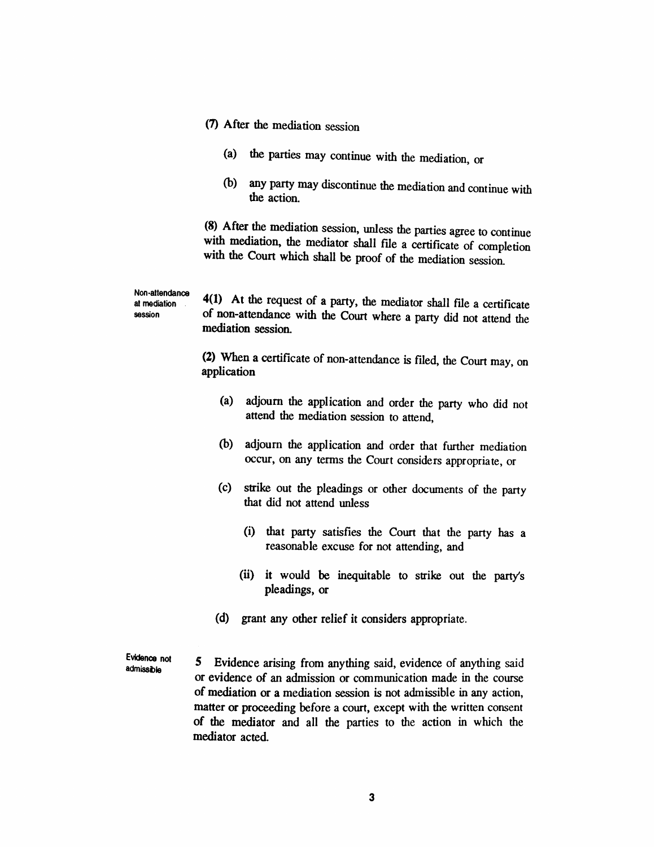*(7) After the mediation session*

*at mediation session*

- *(a) the parties may continue with the mediation, or*
- *(b) any party may discontinue the mediation and continue with the action.*

*(8) After the mediation session, unless the parties agree to continue with mediation, the mediator shall file a certificate of completion with the Court which shall be proof of the mediation session.*

*Non-attendance 4(1) At the request of a party, the mediator shall file a certificate of non-attendance with the Court where a party did not attend the mediation session.*

> *(2) When a certificate of non-attendance is filed, the Court may, on application*

- *(a) adjourn the application and order the party who did not attend the mediation session to attend,*
- *(b) adjourn the application and order that further mediation occur, on any terms the Court considers appropriate, or*
- *(c) strike out the pleadings or other documents of the party that did not attend unless*
	- *(i) that party satisfies the Court that the party has a reasonable excuse for not attending, and*
	- *(ii) it would be inequitable to strike out the party's pleadings, or*
- *(d) grant any other relief it considers appropriate.*

*Evidence not admissible 5 Evidence arising from anything said, evidence of anything said or evidence of an admission or communication made in the course of mediation or a mediation session is not admissible in any action, matter or proceeding before a court, except with the written consent of the mediator and all the parties to the action in which the mediator acted.*